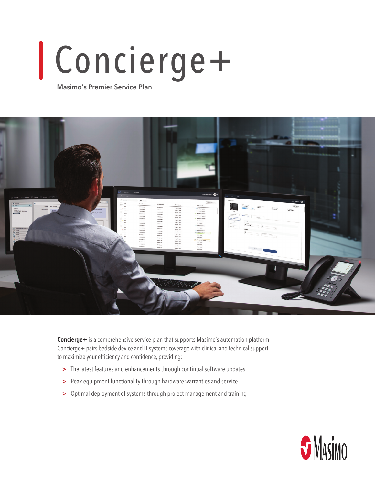# Concierge+

**Masimo's Premier Service Plan**



**Concierge+** is a comprehensive service plan that supports Masimo's automation platform. Concierge+ pairs bedside device and IT systems coverage with clinical and technical support to maximize your efficiency and confidence, providing:

- **>** The latest features and enhancements through continual software updates
- **>** Peak equipment functionality through hardware warranties and service
- **>** Optimal deployment of systems through project management and training